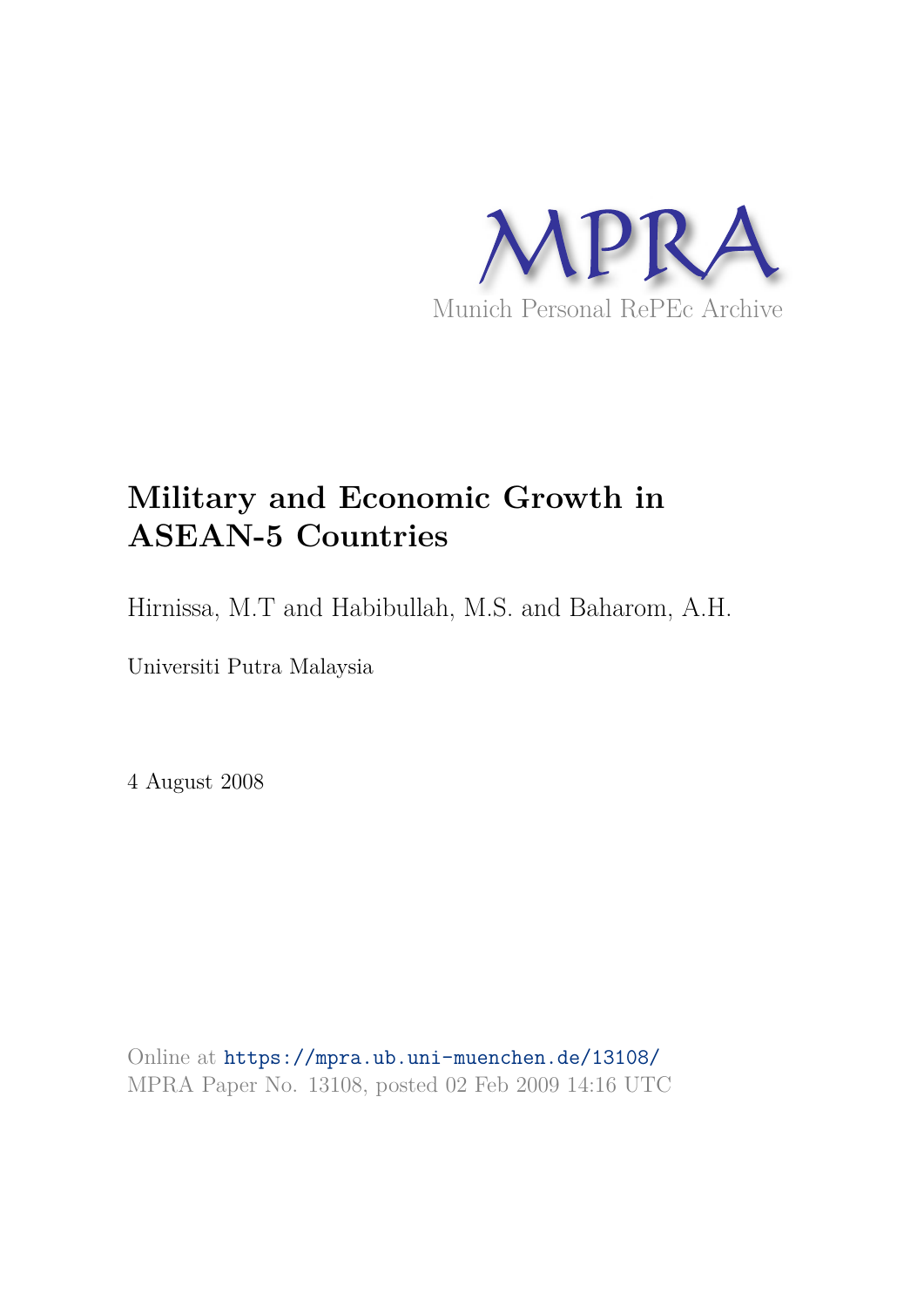

# **Military and Economic Growth in ASEAN-5 Countries**

Hirnissa, M.T and Habibullah, M.S. and Baharom, A.H.

Universiti Putra Malaysia

4 August 2008

Online at https://mpra.ub.uni-muenchen.de/13108/ MPRA Paper No. 13108, posted 02 Feb 2009 14:16 UTC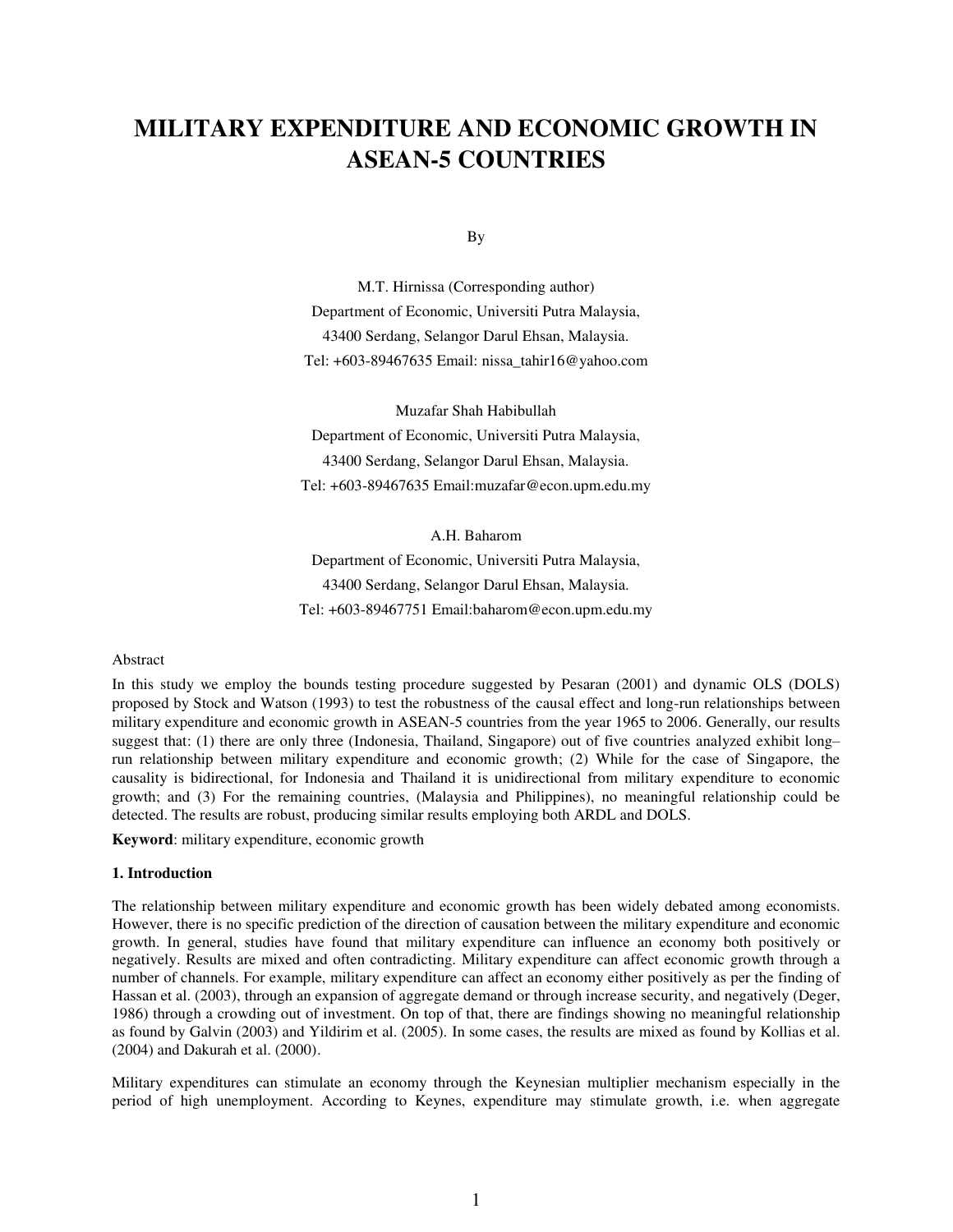## **MILITARY EXPENDITURE AND ECONOMIC GROWTH IN ASEAN-5 COUNTRIES**

By

M.T. Hirnissa (Corresponding author) Department of Economic, Universiti Putra Malaysia, 43400 Serdang, Selangor Darul Ehsan, Malaysia. Tel: +603-89467635 Email: nissa\_tahir16@yahoo.com

Muzafar Shah Habibullah Department of Economic, Universiti Putra Malaysia, 43400 Serdang, Selangor Darul Ehsan, Malaysia. Tel: +603-89467635 Email:muzafar@econ.upm.edu.my

A.H. Baharom

Department of Economic, Universiti Putra Malaysia, 43400 Serdang, Selangor Darul Ehsan, Malaysia. Tel: +603-89467751 Email:baharom@econ.upm.edu.my

#### Abstract

In this study we employ the bounds testing procedure suggested by Pesaran (2001) and dynamic OLS (DOLS) proposed by Stock and Watson (1993) to test the robustness of the causal effect and long-run relationships between military expenditure and economic growth in ASEAN-5 countries from the year 1965 to 2006. Generally, our results suggest that: (1) there are only three (Indonesia, Thailand, Singapore) out of five countries analyzed exhibit long– run relationship between military expenditure and economic growth; (2) While for the case of Singapore, the causality is bidirectional, for Indonesia and Thailand it is unidirectional from military expenditure to economic growth; and (3) For the remaining countries, (Malaysia and Philippines), no meaningful relationship could be detected. The results are robust, producing similar results employing both ARDL and DOLS.

**Keyword**: military expenditure, economic growth

#### **1. Introduction**

The relationship between military expenditure and economic growth has been widely debated among economists. However, there is no specific prediction of the direction of causation between the military expenditure and economic growth. In general, studies have found that military expenditure can influence an economy both positively or negatively. Results are mixed and often contradicting. Military expenditure can affect economic growth through a number of channels. For example, military expenditure can affect an economy either positively as per the finding of Hassan et al. (2003), through an expansion of aggregate demand or through increase security, and negatively (Deger, 1986) through a crowding out of investment. On top of that, there are findings showing no meaningful relationship as found by Galvin (2003) and Yildirim et al. (2005). In some cases, the results are mixed as found by Kollias et al. (2004) and Dakurah et al. (2000).

Military expenditures can stimulate an economy through the Keynesian multiplier mechanism especially in the period of high unemployment. According to Keynes, expenditure may stimulate growth, i.e. when aggregate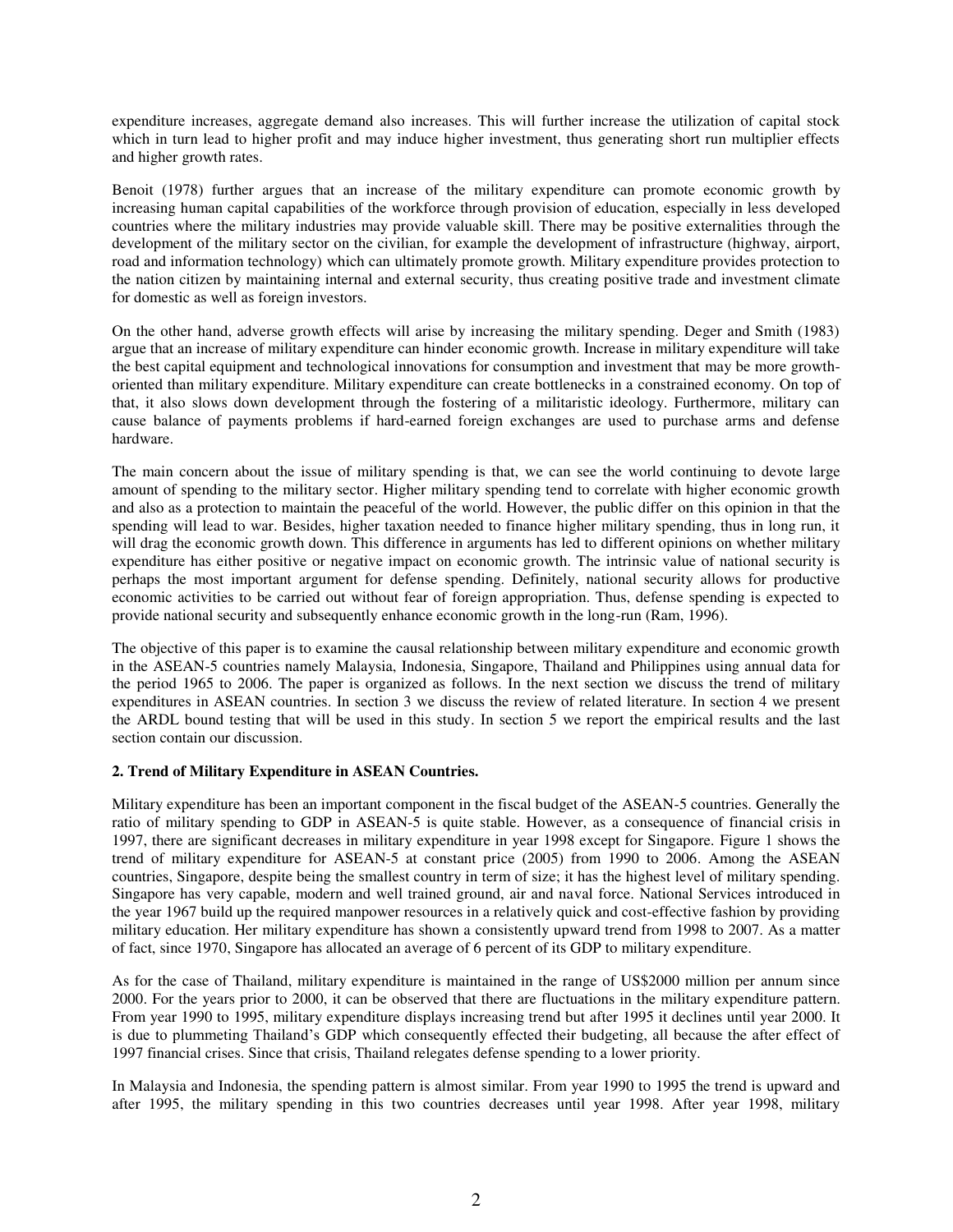expenditure increases, aggregate demand also increases. This will further increase the utilization of capital stock which in turn lead to higher profit and may induce higher investment, thus generating short run multiplier effects and higher growth rates.

Benoit (1978) further argues that an increase of the military expenditure can promote economic growth by increasing human capital capabilities of the workforce through provision of education, especially in less developed countries where the military industries may provide valuable skill. There may be positive externalities through the development of the military sector on the civilian, for example the development of infrastructure (highway, airport, road and information technology) which can ultimately promote growth. Military expenditure provides protection to the nation citizen by maintaining internal and external security, thus creating positive trade and investment climate for domestic as well as foreign investors.

On the other hand, adverse growth effects will arise by increasing the military spending. Deger and Smith (1983) argue that an increase of military expenditure can hinder economic growth. Increase in military expenditure will take the best capital equipment and technological innovations for consumption and investment that may be more growthoriented than military expenditure. Military expenditure can create bottlenecks in a constrained economy. On top of that, it also slows down development through the fostering of a militaristic ideology. Furthermore, military can cause balance of payments problems if hard-earned foreign exchanges are used to purchase arms and defense hardware.

The main concern about the issue of military spending is that, we can see the world continuing to devote large amount of spending to the military sector. Higher military spending tend to correlate with higher economic growth and also as a protection to maintain the peaceful of the world. However, the public differ on this opinion in that the spending will lead to war. Besides, higher taxation needed to finance higher military spending, thus in long run, it will drag the economic growth down. This difference in arguments has led to different opinions on whether military expenditure has either positive or negative impact on economic growth. The intrinsic value of national security is perhaps the most important argument for defense spending. Definitely, national security allows for productive economic activities to be carried out without fear of foreign appropriation. Thus, defense spending is expected to provide national security and subsequently enhance economic growth in the long-run (Ram, 1996).

The objective of this paper is to examine the causal relationship between military expenditure and economic growth in the ASEAN-5 countries namely Malaysia, Indonesia, Singapore, Thailand and Philippines using annual data for the period 1965 to 2006. The paper is organized as follows. In the next section we discuss the trend of military expenditures in ASEAN countries. In section 3 we discuss the review of related literature. In section 4 we present the ARDL bound testing that will be used in this study. In section 5 we report the empirical results and the last section contain our discussion.

#### **2. Trend of Military Expenditure in ASEAN Countries.**

Military expenditure has been an important component in the fiscal budget of the ASEAN-5 countries. Generally the ratio of military spending to GDP in ASEAN-5 is quite stable. However, as a consequence of financial crisis in 1997, there are significant decreases in military expenditure in year 1998 except for Singapore. Figure 1 shows the trend of military expenditure for ASEAN-5 at constant price (2005) from 1990 to 2006. Among the ASEAN countries, Singapore, despite being the smallest country in term of size; it has the highest level of military spending. Singapore has very capable, modern and well trained ground, air and naval force. National Services introduced in the year 1967 build up the required manpower resources in a relatively quick and cost-effective fashion by providing military education. Her military expenditure has shown a consistently upward trend from 1998 to 2007. As a matter of fact, since 1970, Singapore has allocated an average of 6 percent of its GDP to military expenditure.

As for the case of Thailand, military expenditure is maintained in the range of US\$2000 million per annum since 2000. For the years prior to 2000, it can be observed that there are fluctuations in the military expenditure pattern. From year 1990 to 1995, military expenditure displays increasing trend but after 1995 it declines until year 2000. It is due to plummeting Thailand's GDP which consequently effected their budgeting, all because the after effect of 1997 financial crises. Since that crisis, Thailand relegates defense spending to a lower priority.

In Malaysia and Indonesia, the spending pattern is almost similar. From year 1990 to 1995 the trend is upward and after 1995, the military spending in this two countries decreases until year 1998. After year 1998, military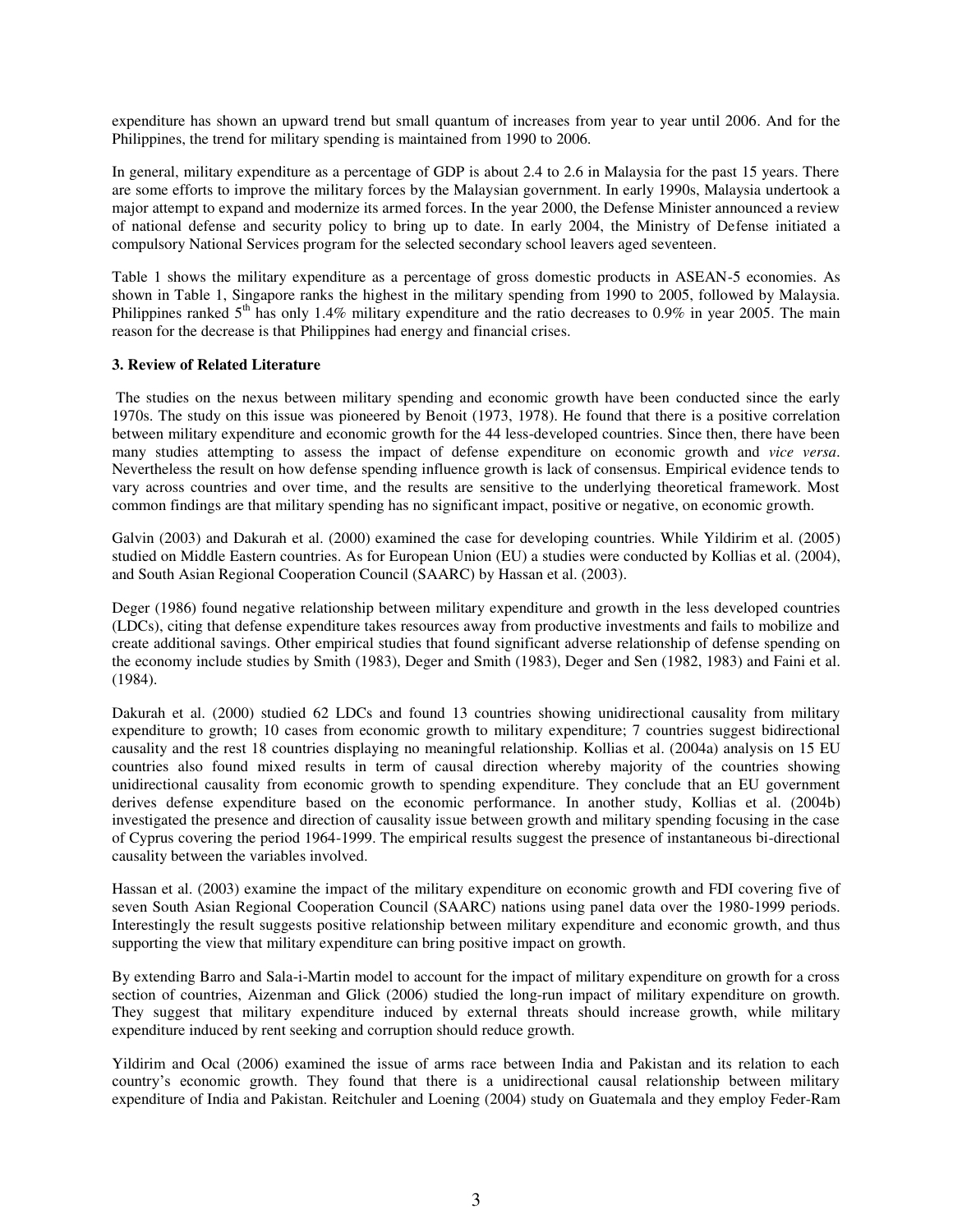expenditure has shown an upward trend but small quantum of increases from year to year until 2006. And for the Philippines, the trend for military spending is maintained from 1990 to 2006.

In general, military expenditure as a percentage of GDP is about 2.4 to 2.6 in Malaysia for the past 15 years. There are some efforts to improve the military forces by the Malaysian government. In early 1990s, Malaysia undertook a major attempt to expand and modernize its armed forces. In the year 2000, the Defense Minister announced a review of national defense and security policy to bring up to date. In early 2004, the Ministry of Defense initiated a compulsory National Services program for the selected secondary school leavers aged seventeen.

Table 1 shows the military expenditure as a percentage of gross domestic products in ASEAN-5 economies. As shown in Table 1, Singapore ranks the highest in the military spending from 1990 to 2005, followed by Malaysia. Philippines ranked 5<sup>th</sup> has only 1.4% military expenditure and the ratio decreases to 0.9% in year 2005. The main reason for the decrease is that Philippines had energy and financial crises.

#### **3. Review of Related Literature**

 The studies on the nexus between military spending and economic growth have been conducted since the early 1970s. The study on this issue was pioneered by Benoit (1973, 1978). He found that there is a positive correlation between military expenditure and economic growth for the 44 less-developed countries. Since then, there have been many studies attempting to assess the impact of defense expenditure on economic growth and *vice versa*. Nevertheless the result on how defense spending influence growth is lack of consensus. Empirical evidence tends to vary across countries and over time, and the results are sensitive to the underlying theoretical framework. Most common findings are that military spending has no significant impact, positive or negative, on economic growth.

Galvin (2003) and Dakurah et al. (2000) examined the case for developing countries. While Yildirim et al. (2005) studied on Middle Eastern countries. As for European Union (EU) a studies were conducted by Kollias et al. (2004), and South Asian Regional Cooperation Council (SAARC) by Hassan et al. (2003).

Deger (1986) found negative relationship between military expenditure and growth in the less developed countries (LDCs), citing that defense expenditure takes resources away from productive investments and fails to mobilize and create additional savings. Other empirical studies that found significant adverse relationship of defense spending on the economy include studies by Smith (1983), Deger and Smith (1983), Deger and Sen (1982, 1983) and Faini et al. (1984).

Dakurah et al. (2000) studied 62 LDCs and found 13 countries showing unidirectional causality from military expenditure to growth; 10 cases from economic growth to military expenditure; 7 countries suggest bidirectional causality and the rest 18 countries displaying no meaningful relationship. Kollias et al. (2004a) analysis on 15 EU countries also found mixed results in term of causal direction whereby majority of the countries showing unidirectional causality from economic growth to spending expenditure. They conclude that an EU government derives defense expenditure based on the economic performance. In another study, Kollias et al. (2004b) investigated the presence and direction of causality issue between growth and military spending focusing in the case of Cyprus covering the period 1964-1999. The empirical results suggest the presence of instantaneous bi-directional causality between the variables involved.

Hassan et al. (2003) examine the impact of the military expenditure on economic growth and FDI covering five of seven South Asian Regional Cooperation Council (SAARC) nations using panel data over the 1980-1999 periods. Interestingly the result suggests positive relationship between military expenditure and economic growth, and thus supporting the view that military expenditure can bring positive impact on growth.

By extending Barro and Sala-i-Martin model to account for the impact of military expenditure on growth for a cross section of countries, Aizenman and Glick (2006) studied the long-run impact of military expenditure on growth. They suggest that military expenditure induced by external threats should increase growth, while military expenditure induced by rent seeking and corruption should reduce growth.

Yildirim and Ocal (2006) examined the issue of arms race between India and Pakistan and its relation to each country's economic growth. They found that there is a unidirectional causal relationship between military expenditure of India and Pakistan. Reitchuler and Loening (2004) study on Guatemala and they employ Feder-Ram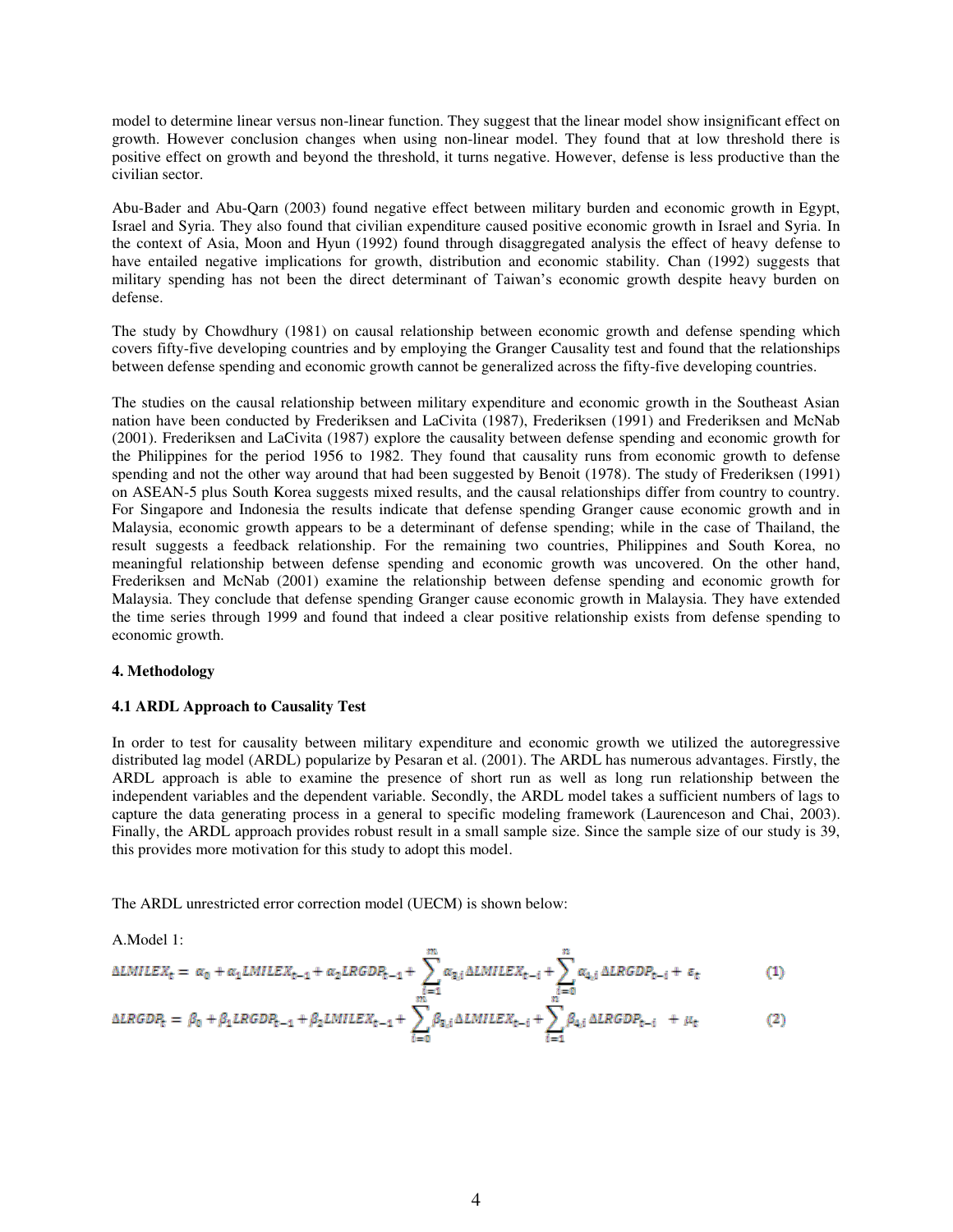model to determine linear versus non-linear function. They suggest that the linear model show insignificant effect on growth. However conclusion changes when using non-linear model. They found that at low threshold there is positive effect on growth and beyond the threshold, it turns negative. However, defense is less productive than the civilian sector.

Abu-Bader and Abu-Qarn (2003) found negative effect between military burden and economic growth in Egypt, Israel and Syria. They also found that civilian expenditure caused positive economic growth in Israel and Syria. In the context of Asia, Moon and Hyun (1992) found through disaggregated analysis the effect of heavy defense to have entailed negative implications for growth, distribution and economic stability. Chan (1992) suggests that military spending has not been the direct determinant of Taiwan's economic growth despite heavy burden on defense.

The study by Chowdhury (1981) on causal relationship between economic growth and defense spending which covers fifty-five developing countries and by employing the Granger Causality test and found that the relationships between defense spending and economic growth cannot be generalized across the fifty-five developing countries.

The studies on the causal relationship between military expenditure and economic growth in the Southeast Asian nation have been conducted by Frederiksen and LaCivita (1987), Frederiksen (1991) and Frederiksen and McNab (2001). Frederiksen and LaCivita (1987) explore the causality between defense spending and economic growth for the Philippines for the period 1956 to 1982. They found that causality runs from economic growth to defense spending and not the other way around that had been suggested by Benoit (1978). The study of Frederiksen (1991) on ASEAN-5 plus South Korea suggests mixed results, and the causal relationships differ from country to country. For Singapore and Indonesia the results indicate that defense spending Granger cause economic growth and in Malaysia, economic growth appears to be a determinant of defense spending; while in the case of Thailand, the result suggests a feedback relationship. For the remaining two countries, Philippines and South Korea, no meaningful relationship between defense spending and economic growth was uncovered. On the other hand, Frederiksen and McNab (2001) examine the relationship between defense spending and economic growth for Malaysia. They conclude that defense spending Granger cause economic growth in Malaysia. They have extended the time series through 1999 and found that indeed a clear positive relationship exists from defense spending to economic growth.

#### **4. Methodology**

#### **4.1 ARDL Approach to Causality Test**

In order to test for causality between military expenditure and economic growth we utilized the autoregressive distributed lag model (ARDL) popularize by Pesaran et al. (2001). The ARDL has numerous advantages. Firstly, the ARDL approach is able to examine the presence of short run as well as long run relationship between the independent variables and the dependent variable. Secondly, the ARDL model takes a sufficient numbers of lags to capture the data generating process in a general to specific modeling framework (Laurenceson and Chai, 2003). Finally, the ARDL approach provides robust result in a small sample size. Since the sample size of our study is 39, this provides more motivation for this study to adopt this model.

The ARDL unrestricted error correction model (UECM) is shown below:

A.Model 1:

$$
\Delta LMILEX_t = \alpha_0 + \alpha_1 LMILEX_{t-1} + \alpha_2 LRGBP_{t-1} + \sum_{i=1}^{m} \alpha_{2,i} \Delta LMILEX_{t-i} + \sum_{i=0}^{n} \alpha_{4,i} \Delta LRGDP_{t-i} + \varepsilon_t
$$
\n(1)

$$
\Delta LRGDP_t = \beta_0 + \beta_1 LRGDP_{t-1} + \beta_2 LMILEX_{t-1} + \sum_{i=0}^{n} \beta_{2,i} \Delta LMILEX_{t-i} + \sum_{i=1}^{n} \beta_{4,i} \Delta LRGDP_{t-i} + \mu_t
$$
\n(2)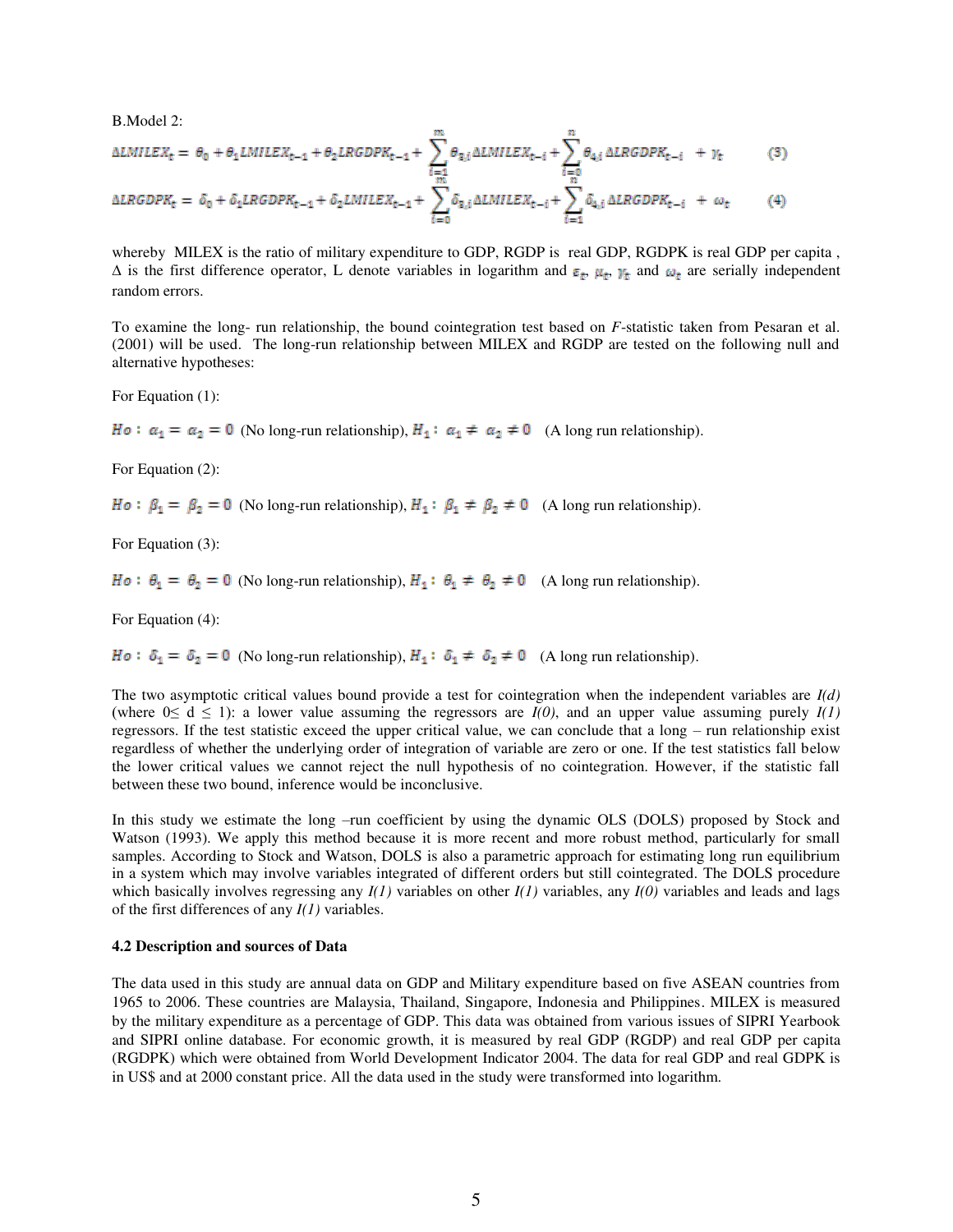B.Model 2:

$$
\Delta LMILEX_t = \theta_0 + \theta_1 LMILEX_{t-1} + \theta_2 LRGDPK_{t-1} + \sum_{\substack{i=1 \ n \text{ odd}}}^{m} \theta_{3,i} \Delta LMILEX_{t-i} + \sum_{\substack{i=0 \ n \text{ odd}}}^{n} \theta_{4,i} \Delta LRGDPK_{t-i} + \gamma_t
$$
(3)  

$$
\Delta LRGDPK_t = \delta_0 + \delta_1 LRGDPK_{t-1} + \delta_2 LMILEX_{t-1} + \sum_{i=0}^{m} \delta_{3,i} \Delta LMILEX_{t-i} + \sum_{i=1}^{n} \delta_{4,i} \Delta LRGDPK_{t-i} + \omega_t
$$
(4)

whereby MILEX is the ratio of military expenditure to GDP, RGDP is real GDP, RGDPK is real GDP per capita,  $\Delta$  is the first difference operator, L denote variables in logarithm and  $\varepsilon_t$ ,  $\mu_t$ ,  $\gamma_t$  and  $\omega_t$  are serially independent random errors.

To examine the long- run relationship, the bound cointegration test based on *F*-statistic taken from Pesaran et al. (2001) will be used. The long-run relationship between MILEX and RGDP are tested on the following null and alternative hypotheses:

For Equation (1):

 $H_0: \alpha_1 = \alpha_2 = 0$  (No long-run relationship),  $H_1: \alpha_1 \neq \alpha_2 \neq 0$  (A long run relationship).

For Equation (2):

 $H_0: \beta_1 = \beta_2 = 0$  (No long-run relationship),  $H_1: \beta_1 \neq \beta_2 \neq 0$  (A long run relationship).

For Equation (3):

 $H_0: \theta_1 = \theta_2 = 0$  (No long-run relationship),  $H_1: \theta_1 \neq \theta_2 \neq 0$  (A long run relationship).

For Equation (4):

 $H_0: \delta_1 = \delta_2 = 0$  (No long-run relationship),  $H_1: \delta_1 \neq \delta_2 \neq 0$  (A long run relationship).

The two asymptotic critical values bound provide a test for cointegration when the independent variables are *I(d)* (where  $0 \le d \le 1$ ): a lower value assuming the regressors are  $I(0)$ , and an upper value assuming purely  $I(1)$ regressors. If the test statistic exceed the upper critical value, we can conclude that a long – run relationship exist regardless of whether the underlying order of integration of variable are zero or one. If the test statistics fall below the lower critical values we cannot reject the null hypothesis of no cointegration. However, if the statistic fall between these two bound, inference would be inconclusive.

In this study we estimate the long –run coefficient by using the dynamic OLS (DOLS) proposed by Stock and Watson (1993). We apply this method because it is more recent and more robust method, particularly for small samples. According to Stock and Watson, DOLS is also a parametric approach for estimating long run equilibrium in a system which may involve variables integrated of different orders but still cointegrated. The DOLS procedure which basically involves regressing any  $I(1)$  variables on other  $I(1)$  variables, any  $I(0)$  variables and leads and lags of the first differences of any *I(1)* variables.

#### **4.2 Description and sources of Data**

The data used in this study are annual data on GDP and Military expenditure based on five ASEAN countries from 1965 to 2006. These countries are Malaysia, Thailand, Singapore, Indonesia and Philippines. MILEX is measured by the military expenditure as a percentage of GDP. This data was obtained from various issues of SIPRI Yearbook and SIPRI online database. For economic growth, it is measured by real GDP (RGDP) and real GDP per capita (RGDPK) which were obtained from World Development Indicator 2004. The data for real GDP and real GDPK is in US\$ and at 2000 constant price. All the data used in the study were transformed into logarithm.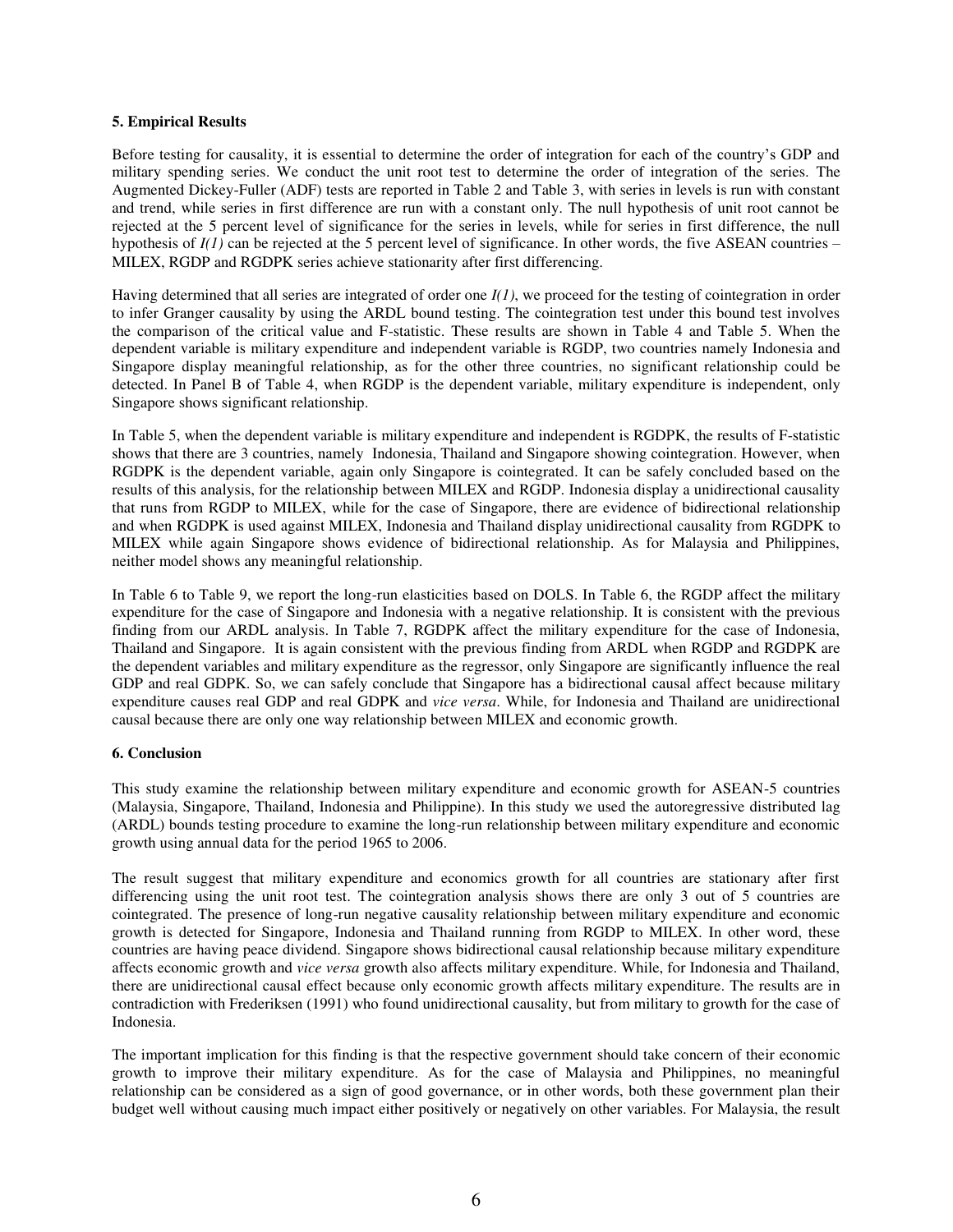#### **5. Empirical Results**

Before testing for causality, it is essential to determine the order of integration for each of the country's GDP and military spending series. We conduct the unit root test to determine the order of integration of the series. The Augmented Dickey-Fuller (ADF) tests are reported in Table 2 and Table 3, with series in levels is run with constant and trend, while series in first difference are run with a constant only. The null hypothesis of unit root cannot be rejected at the 5 percent level of significance for the series in levels, while for series in first difference, the null hypothesis of  $I(1)$  can be rejected at the 5 percent level of significance. In other words, the five ASEAN countries – MILEX, RGDP and RGDPK series achieve stationarity after first differencing.

Having determined that all series are integrated of order one *I(1)*, we proceed for the testing of cointegration in order to infer Granger causality by using the ARDL bound testing. The cointegration test under this bound test involves the comparison of the critical value and F-statistic. These results are shown in Table 4 and Table 5. When the dependent variable is military expenditure and independent variable is RGDP, two countries namely Indonesia and Singapore display meaningful relationship, as for the other three countries, no significant relationship could be detected. In Panel B of Table 4, when RGDP is the dependent variable, military expenditure is independent, only Singapore shows significant relationship.

In Table 5, when the dependent variable is military expenditure and independent is RGDPK, the results of F-statistic shows that there are 3 countries, namely Indonesia, Thailand and Singapore showing cointegration. However, when RGDPK is the dependent variable, again only Singapore is cointegrated. It can be safely concluded based on the results of this analysis, for the relationship between MILEX and RGDP. Indonesia display a unidirectional causality that runs from RGDP to MILEX, while for the case of Singapore, there are evidence of bidirectional relationship and when RGDPK is used against MILEX, Indonesia and Thailand display unidirectional causality from RGDPK to MILEX while again Singapore shows evidence of bidirectional relationship. As for Malaysia and Philippines, neither model shows any meaningful relationship.

In Table 6 to Table 9, we report the long-run elasticities based on DOLS. In Table 6, the RGDP affect the military expenditure for the case of Singapore and Indonesia with a negative relationship. It is consistent with the previous finding from our ARDL analysis. In Table 7, RGDPK affect the military expenditure for the case of Indonesia, Thailand and Singapore. It is again consistent with the previous finding from ARDL when RGDP and RGDPK are the dependent variables and military expenditure as the regressor, only Singapore are significantly influence the real GDP and real GDPK. So, we can safely conclude that Singapore has a bidirectional causal affect because military expenditure causes real GDP and real GDPK and *vice versa*. While, for Indonesia and Thailand are unidirectional causal because there are only one way relationship between MILEX and economic growth.

#### **6. Conclusion**

This study examine the relationship between military expenditure and economic growth for ASEAN-5 countries (Malaysia, Singapore, Thailand, Indonesia and Philippine). In this study we used the autoregressive distributed lag (ARDL) bounds testing procedure to examine the long-run relationship between military expenditure and economic growth using annual data for the period 1965 to 2006.

The result suggest that military expenditure and economics growth for all countries are stationary after first differencing using the unit root test. The cointegration analysis shows there are only 3 out of 5 countries are cointegrated. The presence of long-run negative causality relationship between military expenditure and economic growth is detected for Singapore, Indonesia and Thailand running from RGDP to MILEX. In other word, these countries are having peace dividend. Singapore shows bidirectional causal relationship because military expenditure affects economic growth and *vice versa* growth also affects military expenditure. While, for Indonesia and Thailand, there are unidirectional causal effect because only economic growth affects military expenditure. The results are in contradiction with Frederiksen (1991) who found unidirectional causality, but from military to growth for the case of Indonesia.

The important implication for this finding is that the respective government should take concern of their economic growth to improve their military expenditure. As for the case of Malaysia and Philippines, no meaningful relationship can be considered as a sign of good governance, or in other words, both these government plan their budget well without causing much impact either positively or negatively on other variables. For Malaysia, the result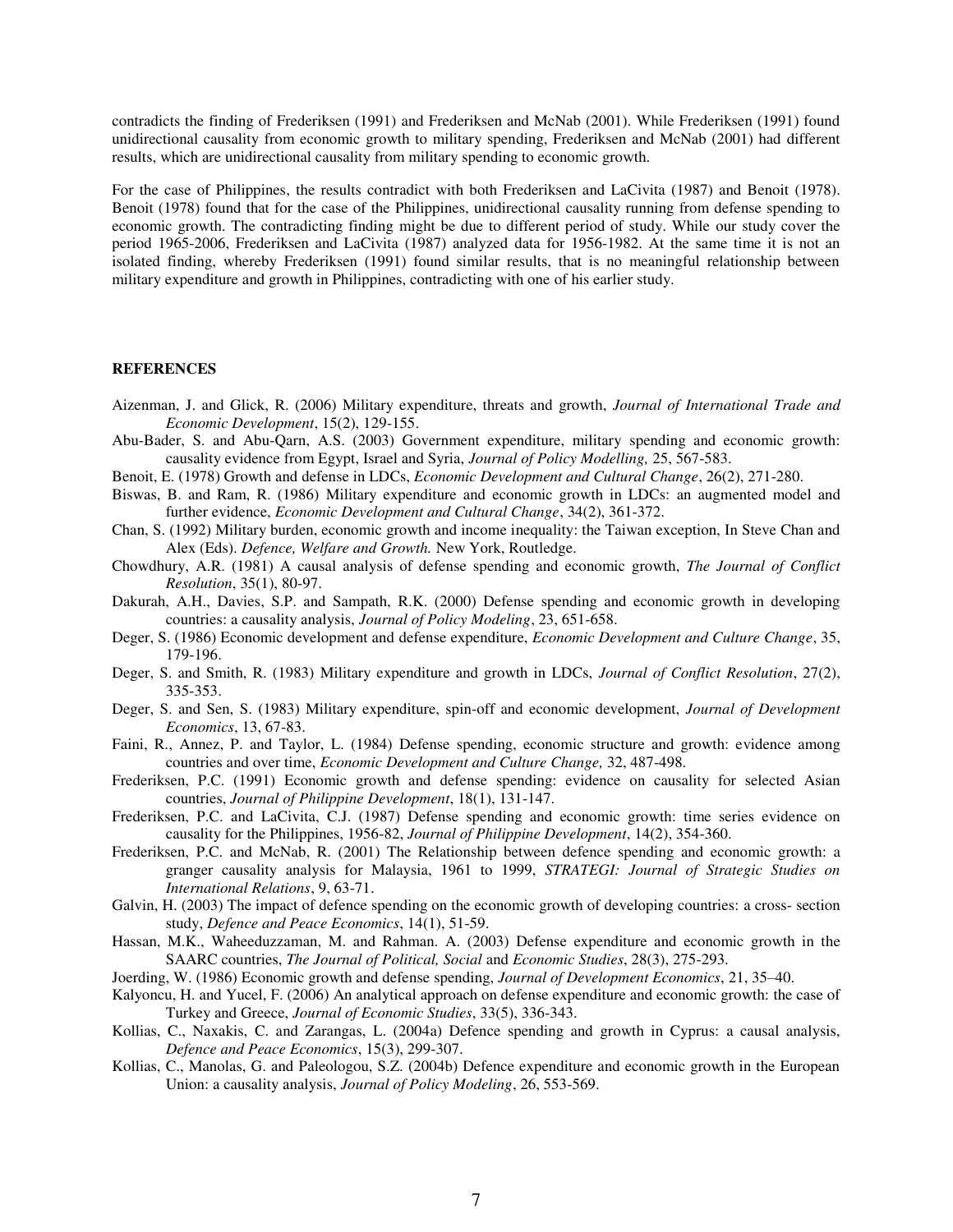contradicts the finding of Frederiksen (1991) and Frederiksen and McNab (2001). While Frederiksen (1991) found unidirectional causality from economic growth to military spending, Frederiksen and McNab (2001) had different results, which are unidirectional causality from military spending to economic growth.

For the case of Philippines, the results contradict with both Frederiksen and LaCivita (1987) and Benoit (1978). Benoit (1978) found that for the case of the Philippines, unidirectional causality running from defense spending to economic growth. The contradicting finding might be due to different period of study. While our study cover the period 1965-2006, Frederiksen and LaCivita (1987) analyzed data for 1956-1982. At the same time it is not an isolated finding, whereby Frederiksen (1991) found similar results, that is no meaningful relationship between military expenditure and growth in Philippines, contradicting with one of his earlier study.

#### **REFERENCES**

- Aizenman, J. and Glick, R. (2006) Military expenditure, threats and growth, *Journal of International Trade and Economic Development*, 15(2), 129-155.
- Abu-Bader, S. and Abu-Qarn, A.S. (2003) Government expenditure, military spending and economic growth: causality evidence from Egypt, Israel and Syria, *Journal of Policy Modelling,* 25, 567-583.
- Benoit, E. (1978) Growth and defense in LDCs, *Economic Development and Cultural Change*, 26(2), 271-280.
- Biswas, B. and Ram, R. (1986) Military expenditure and economic growth in LDCs: an augmented model and further evidence, *Economic Development and Cultural Change*, 34(2), 361-372.
- Chan, S. (1992) Military burden, economic growth and income inequality: the Taiwan exception, In Steve Chan and Alex (Eds). *Defence, Welfare and Growth.* New York, Routledge.
- Chowdhury, A.R. (1981) A causal analysis of defense spending and economic growth, *The Journal of Conflict Resolution*, 35(1), 80-97.
- Dakurah, A.H., Davies, S.P. and Sampath, R.K. (2000) Defense spending and economic growth in developing countries: a causality analysis, *Journal of Policy Modeling*, 23, 651-658.
- Deger, S. (1986) Economic development and defense expenditure, *Economic Development and Culture Change*, 35, 179-196.
- Deger, S. and Smith, R. (1983) Military expenditure and growth in LDCs, *Journal of Conflict Resolution*, 27(2), 335-353.
- Deger, S. and Sen, S. (1983) Military expenditure, spin-off and economic development, *Journal of Development Economics*, 13, 67-83.
- Faini, R., Annez, P. and Taylor, L. (1984) Defense spending, economic structure and growth: evidence among countries and over time, *Economic Development and Culture Change,* 32, 487-498.
- Frederiksen, P.C. (1991) Economic growth and defense spending: evidence on causality for selected Asian countries, *Journal of Philippine Development*, 18(1), 131-147.
- Frederiksen, P.C. and LaCivita, C.J. (1987) Defense spending and economic growth: time series evidence on causality for the Philippines, 1956-82, *Journal of Philippine Development*, 14(2), 354-360.
- Frederiksen, P.C. and McNab, R. (2001) The Relationship between defence spending and economic growth: a granger causality analysis for Malaysia, 1961 to 1999, *STRATEGI: Journal of Strategic Studies on International Relations*, 9, 63-71.
- Galvin, H. (2003) The impact of defence spending on the economic growth of developing countries: a cross- section study, *Defence and Peace Economics*, 14(1), 51-59.
- Hassan, M.K., Waheeduzzaman, M. and Rahman. A. (2003) Defense expenditure and economic growth in the SAARC countries, *The Journal of Political, Social* and *Economic Studies*, 28(3), 275-293.
- Joerding, W. (1986) Economic growth and defense spending, *Journal of Development Economics*, 21, 35–40.
- Kalyoncu, H. and Yucel, F. (2006) An analytical approach on defense expenditure and economic growth: the case of Turkey and Greece, *Journal of Economic Studies*, 33(5), 336-343.
- Kollias, C., Naxakis, C. and Zarangas, L. (2004a) Defence spending and growth in Cyprus: a causal analysis, *Defence and Peace Economics*, 15(3), 299-307.
- Kollias, C., Manolas, G. and Paleologou, S.Z. (2004b) Defence expenditure and economic growth in the European Union: a causality analysis, *Journal of Policy Modeling*, 26, 553-569.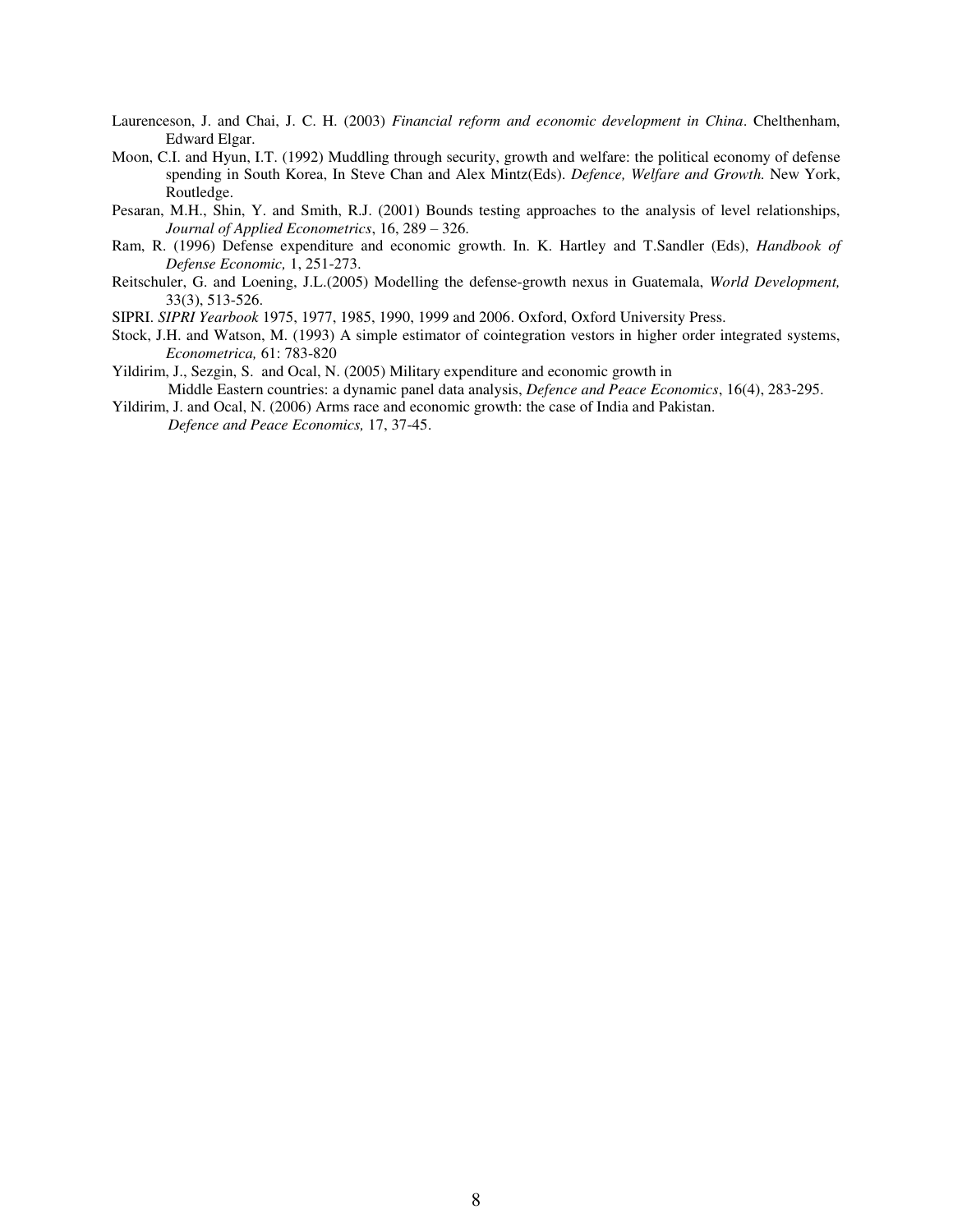- Laurenceson, J. and Chai, J. C. H. (2003) *Financial reform and economic development in China*. Chelthenham, Edward Elgar.
- Moon, C.I. and Hyun, I.T. (1992) Muddling through security, growth and welfare: the political economy of defense spending in South Korea, In Steve Chan and Alex Mintz(Eds). *Defence, Welfare and Growth.* New York, Routledge.
- Pesaran, M.H., Shin, Y. and Smith, R.J. (2001) Bounds testing approaches to the analysis of level relationships, *Journal of Applied Econometrics*, 16, 289 – 326.
- Ram, R. (1996) Defense expenditure and economic growth. In. K. Hartley and T.Sandler (Eds), *Handbook of Defense Economic,* 1, 251-273.
- Reitschuler, G. and Loening, J.L.(2005) Modelling the defense-growth nexus in Guatemala, *World Development,* 33(3), 513-526.
- SIPRI. *SIPRI Yearbook* 1975, 1977, 1985, 1990, 1999 and 2006. Oxford, Oxford University Press.
- Stock, J.H. and Watson, M. (1993) A simple estimator of cointegration vestors in higher order integrated systems, *Econometrica,* 61: 783-820
- Yildirim, J., Sezgin, S. and Ocal, N. (2005) Military expenditure and economic growth in Middle Eastern countries: a dynamic panel data analysis, *Defence and Peace Economics*, 16(4), 283-295.
- Yildirim, J. and Ocal, N. (2006) Arms race and economic growth: the case of India and Pakistan. *Defence and Peace Economics,* 17, 37-45.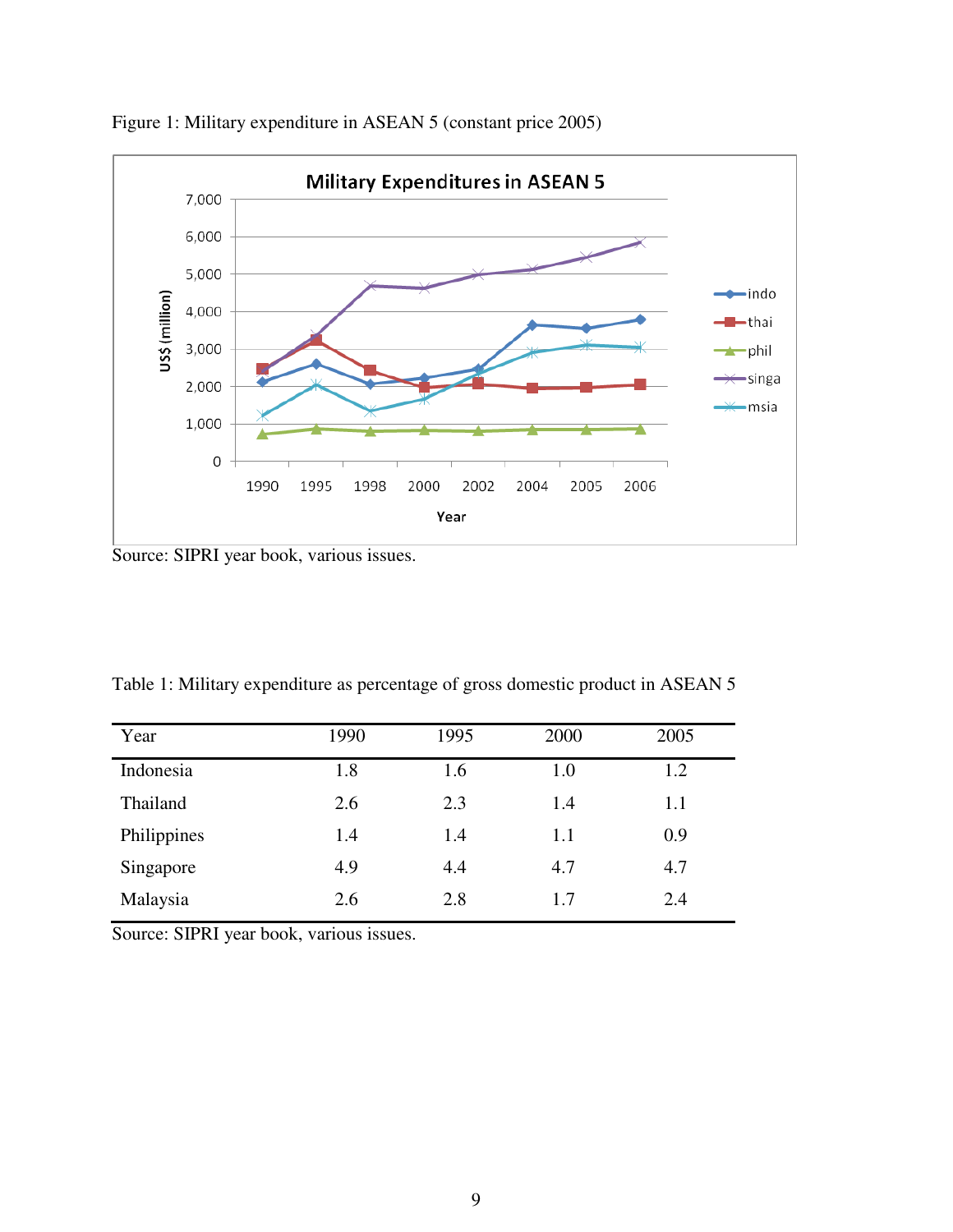

Figure 1: Military expenditure in ASEAN 5 (constant price 2005)

Source: SIPRI year book, various issues.

| Year        | 1990 | 1995 | 2000 | 2005 |
|-------------|------|------|------|------|
| Indonesia   | 1.8  | 1.6  | 1.0  | 1.2  |
| Thailand    | 2.6  | 2.3  | 1.4  | 1.1  |
| Philippines | 1.4  | 1.4  | 1.1  | 0.9  |
| Singapore   | 4.9  | 4.4  | 4.7  | 4.7  |
| Malaysia    | 2.6  | 2.8  | 1.7  | 2.4  |

Source: SIPRI year book, various issues.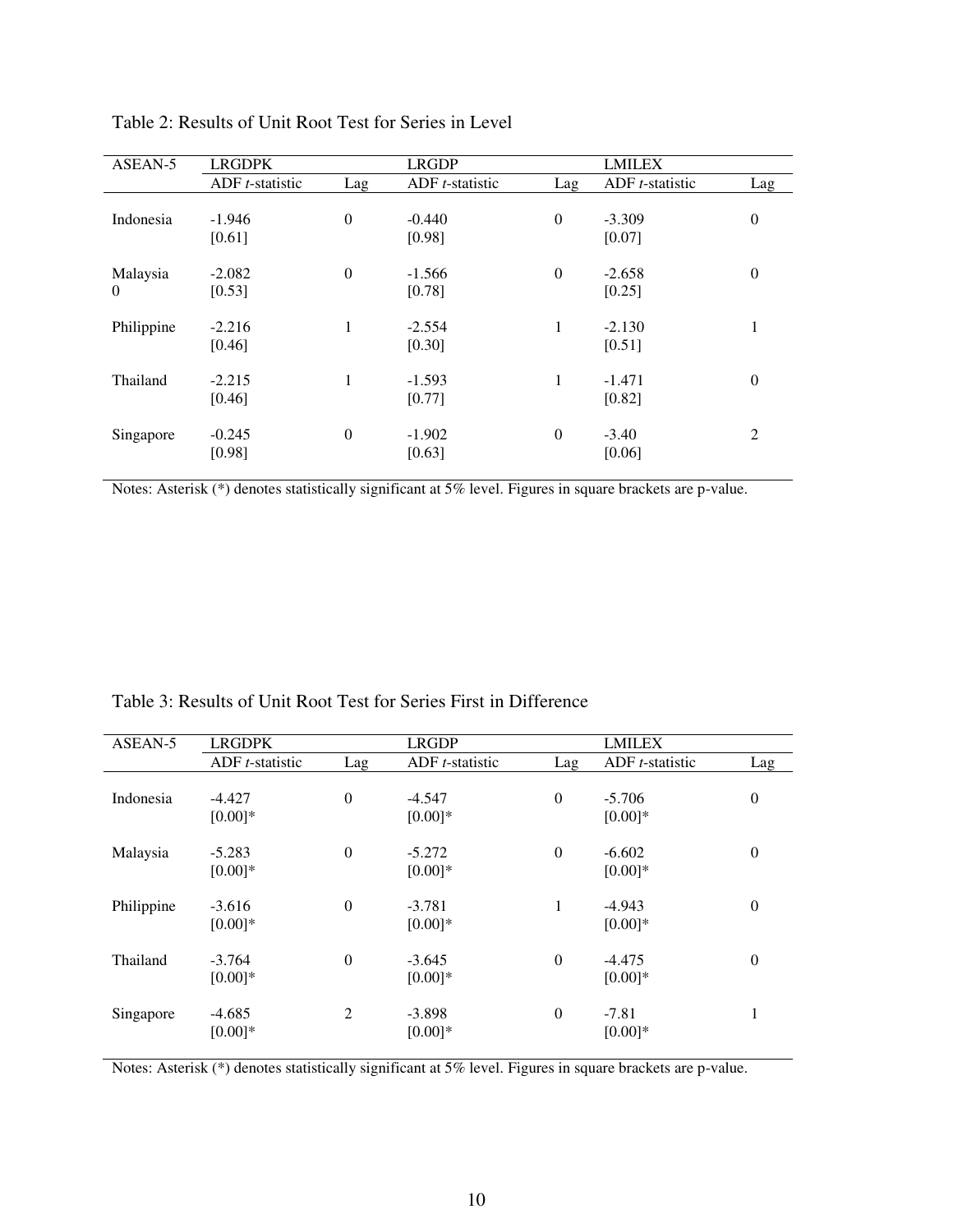| ASEAN-5    | <b>LRGDPK</b>      |                  | <b>LRGDP</b>       |          | <b>LMILEX</b>           |                  |
|------------|--------------------|------------------|--------------------|----------|-------------------------|------------------|
|            | ADF $t$ -statistic | Lag              | $ADF t$ -statistic | Lag      | ADF <i>t</i> -statistic | Lag              |
|            |                    |                  |                    |          |                         |                  |
| Indonesia  | $-1.946$           | $\boldsymbol{0}$ | $-0.440$           | $\Omega$ | $-3.309$                | $\boldsymbol{0}$ |
|            | [0.61]             |                  | [0.98]             |          | [0.07]                  |                  |
| Malaysia   | $-2.082$           | $\theta$         | $-1.566$           | $\Omega$ | $-2.658$                | $\boldsymbol{0}$ |
| $\theta$   | [0.53]             |                  | [0.78]             |          | [0.25]                  |                  |
| Philippine | $-2.216$           | $\mathbf{1}$     | $-2.554$           | 1        | $-2.130$                | 1                |
|            | [0.46]             |                  | [0.30]             |          | [0.51]                  |                  |
| Thailand   | $-2.215$           | 1                | $-1.593$           | 1        | $-1.471$                | $\boldsymbol{0}$ |
|            | [0.46]             |                  | [0.77]             |          | [0.82]                  |                  |
|            |                    |                  |                    |          |                         |                  |
| Singapore  | $-0.245$           | $\boldsymbol{0}$ | $-1.902$           | $\theta$ | $-3.40$                 | 2                |
|            | [0.98]             |                  | [0.63]             |          | [0.06]                  |                  |

Table 2: Results of Unit Root Test for Series in Level

Notes: Asterisk (\*) denotes statistically significant at 5% level. Figures in square brackets are p-value.

| ASEAN-5    | <b>LRGDPK</b>         |                | LRGDP                   |              | <b>LMILEX</b>           |                  |
|------------|-----------------------|----------------|-------------------------|--------------|-------------------------|------------------|
|            | ADF t-statistic       | Lag            | ADF <i>t</i> -statistic | Lag          | ADF <i>t</i> -statistic | Lag              |
| Indonesia  | $-4.427$<br>$[0.00]*$ | $\theta$       | $-4.547$<br>$[0.00]*$   | $\mathbf{0}$ | $-5.706$<br>$[0.00]*$   | $\boldsymbol{0}$ |
| Malaysia   | $-5.283$<br>$[0.00]*$ | $\mathbf{0}$   | $-5.272$<br>$[0.00]*$   | $\mathbf{0}$ | $-6.602$<br>$[0.00]*$   | $\boldsymbol{0}$ |
| Philippine | $-3.616$<br>$[0.00]*$ | $\theta$       | $-3.781$<br>$[0.00]$ *  | 1            | $-4.943$<br>$[0.00]$ *  | $\boldsymbol{0}$ |
| Thailand   | $-3.764$<br>$[0.00]*$ | $\theta$       | $-3.645$<br>$[0.00]*$   | $\Omega$     | $-4.475$<br>$[0.00]*$   | $\theta$         |
| Singapore  | $-4.685$<br>$[0.00]*$ | $\overline{2}$ | $-3.898$<br>$[0.00]*$   | $\mathbf{0}$ | $-7.81$<br>$[0.00]*$    | 1                |

Table 3: Results of Unit Root Test for Series First in Difference

Notes: Asterisk (\*) denotes statistically significant at 5% level. Figures in square brackets are p-value.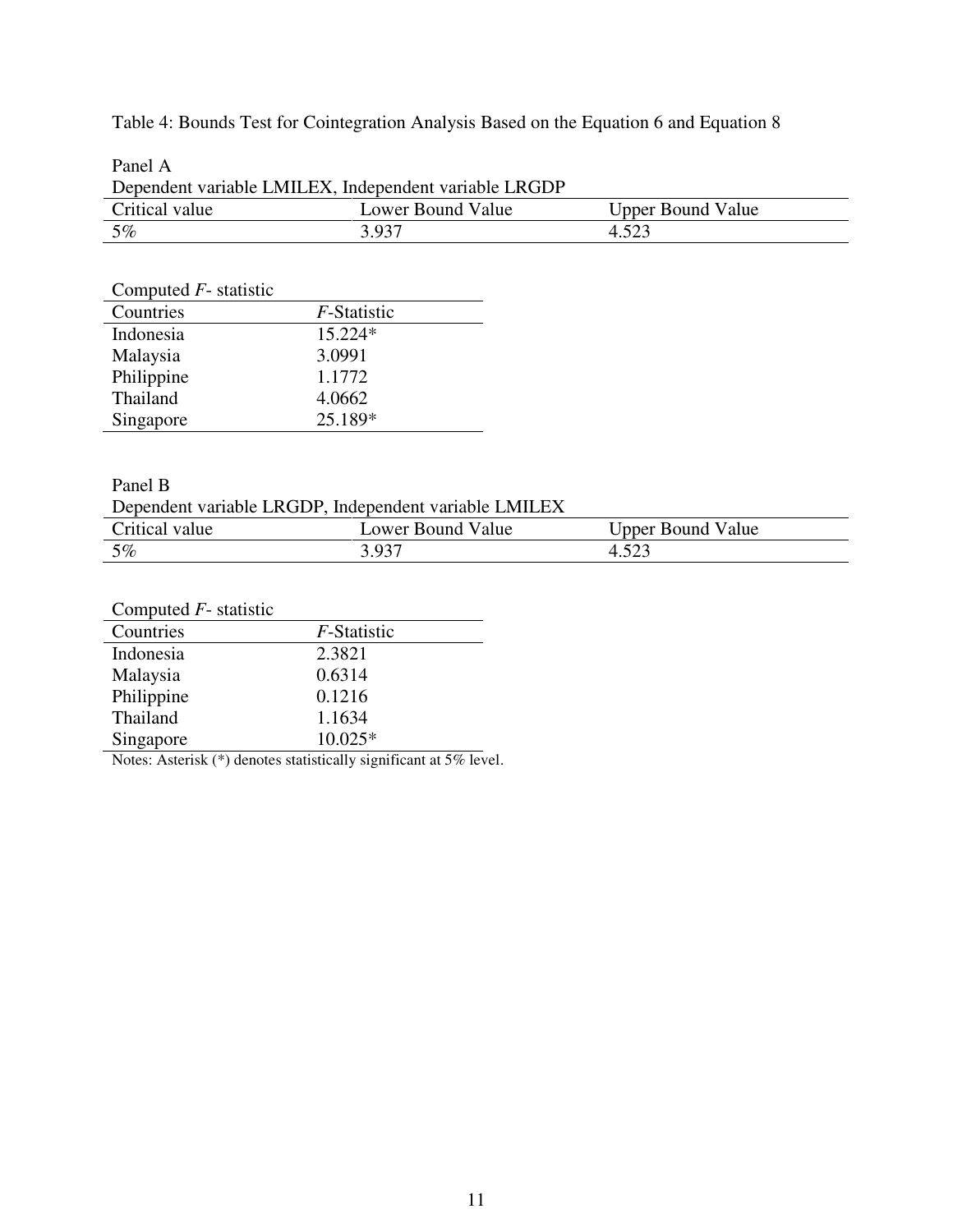Table 4: Bounds Test for Cointegration Analysis Based on the Equation 6 and Equation 8

| 'anel |  |
|-------|--|
|-------|--|

| Dependent variable LMILEX, Independent variable LRGDP |                   |                          |  |  |
|-------------------------------------------------------|-------------------|--------------------------|--|--|
| Critical value                                        | Lower Bound Value | <b>Upper Bound Value</b> |  |  |
| 5%                                                    | 3.937             | 4.523                    |  |  |

| Computed $F$ - statistic |             |
|--------------------------|-------------|
| Countries                | F-Statistic |
| Indonesia                | 15.224*     |
| Malaysia                 | 3.0991      |
| Philippine               | 1.1772      |
| Thailand                 | 4.0662      |
| Singapore                | 25.189*     |

## Panel B

| Critical<br>value | Value<br>∟ower<br>Bound | Value<br>Inner<br>Bound |
|-------------------|-------------------------|-------------------------|
| 5%                | J . J J                 | $\sim$ $\sim$ $\sim$    |

## Computed *F*- statistic

| Countries  | F-Statistic |
|------------|-------------|
| Indonesia  | 2.3821      |
| Malaysia   | 0.6314      |
| Philippine | 0.1216      |
| Thailand   | 1.1634      |
| Singapore  | $10.025*$   |

Notes: Asterisk (\*) denotes statistically significant at 5% level.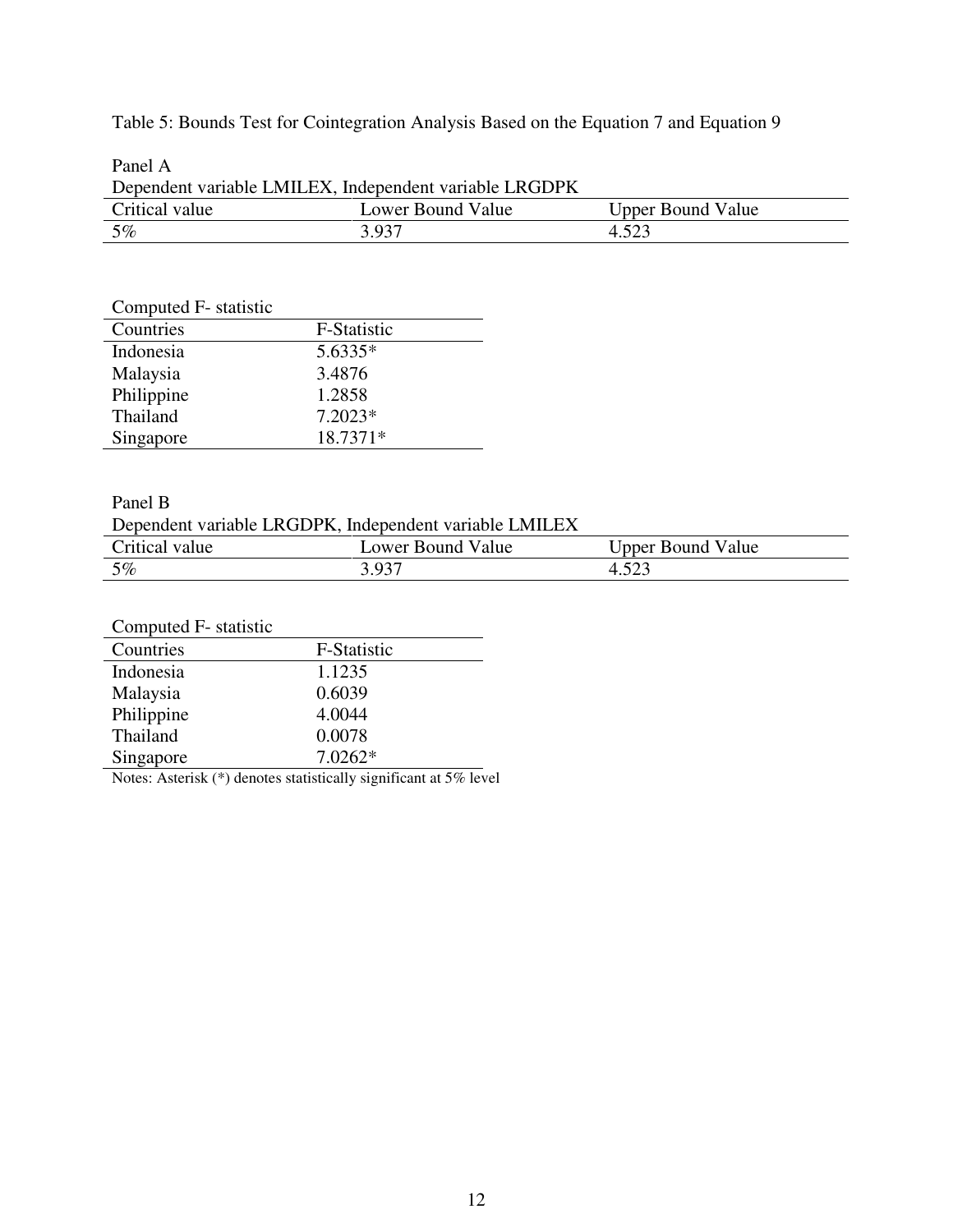Table 5: Bounds Test for Cointegration Analysis Based on the Equation 7 and Equation 9

| ane |
|-----|
|-----|

| Dependent variable LMILEX, Independent variable LRGDPK |                   |                          |  |  |
|--------------------------------------------------------|-------------------|--------------------------|--|--|
| Critical value                                         | Lower Bound Value | <b>Upper Bound Value</b> |  |  |
| 5%                                                     | 3.937             | 4.523                    |  |  |

| Computed F-statistic |             |
|----------------------|-------------|
| Countries            | F-Statistic |
| Indonesia            | 5.6335*     |
| Malaysia             | 3.4876      |
| Philippine           | 1.2858      |
| Thailand             | $7.2023*$   |
| Singapore            | 18.7371*    |

### Dependent variable LRGDPK, Independent variable LMILEX

| `rıfı∩9<br>value | ower<br>Value<br>Round | Value<br>Inner<br>ממוומ≀ |
|------------------|------------------------|--------------------------|
| 5%               | $\sqrt{27}$<br>ч₹      | م د س<br>т.  ∠∠          |

| Computed F- statistic |
|-----------------------|
|-----------------------|

| Countries  | F-Statistic |
|------------|-------------|
| Indonesia  | 1.1235      |
| Malaysia   | 0.6039      |
| Philippine | 4.0044      |
| Thailand   | 0.0078      |
| Singapore  | $7.0262*$   |

Notes: Asterisk (\*) denotes statistically significant at 5% level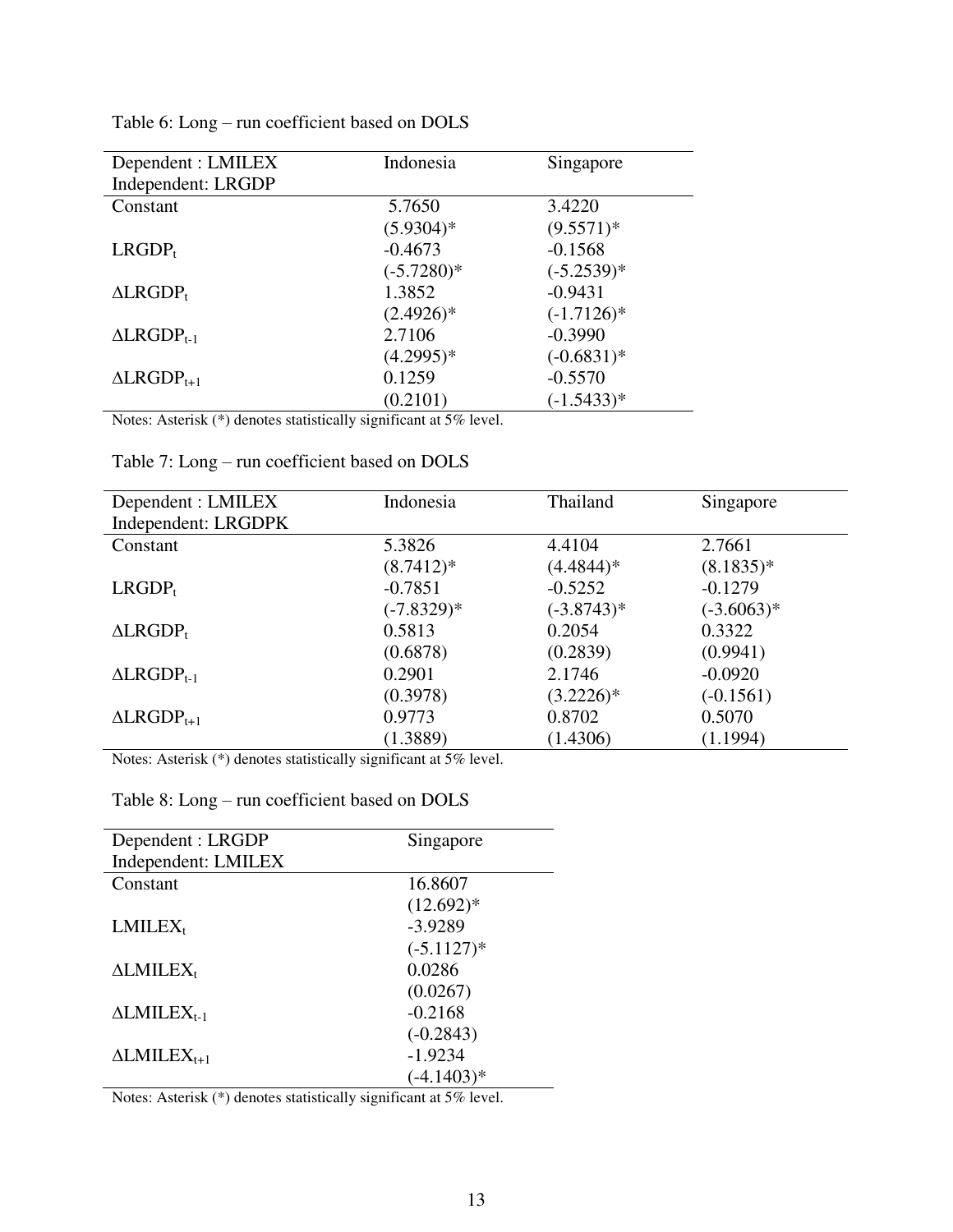| Dependent : LMILEX                                                                                                                                                                              | Indonesia      | Singapore     |
|-------------------------------------------------------------------------------------------------------------------------------------------------------------------------------------------------|----------------|---------------|
| Independent: LRGDP                                                                                                                                                                              |                |               |
| Constant                                                                                                                                                                                        | 5.7650         | 3.4220        |
|                                                                                                                                                                                                 | $(5.9304)*$    | $(9.5571)*$   |
| $LRGDP_t$                                                                                                                                                                                       | $-0.4673$      | $-0.1568$     |
|                                                                                                                                                                                                 | $(-5.7280)*$   | $(-5.2539)*$  |
| $\triangle$ LRGDP <sub>t</sub>                                                                                                                                                                  | 1.3852         | $-0.9431$     |
|                                                                                                                                                                                                 | $(2.4926)^*$   | $(-1.7126)$ * |
| $\triangle$ LRGDP <sub>t-1</sub>                                                                                                                                                                | 2.7106         | $-0.3990$     |
|                                                                                                                                                                                                 | $(4.2995)*$    | $(-0.6831)*$  |
| $\triangle$ LRGDP <sub>t+1</sub>                                                                                                                                                                | 0.1259         | $-0.5570$     |
|                                                                                                                                                                                                 | (0.2101)       | $(-1.5433)*$  |
| $\mathbf{X} \mathbf{Y}$ and $\mathbf{X} \mathbf{Y}$ and $\mathbf{X} \mathbf{X}$ and $\mathbf{X} \mathbf{X}$ and $\mathbf{X} \mathbf{X}$ and $\mathbf{X} \mathbf{X}$ and $\mathbf{X} \mathbf{X}$ | $\cdot$ $\sim$ |               |

Table 6: Long – run coefficient based on DOLS

Notes: Asterisk (\*) denotes statistically significant at 5% level.

## Table 7: Long – run coefficient based on DOLS

| Dependent : LMILEX               | Indonesia    | Thailand     | Singapore    |
|----------------------------------|--------------|--------------|--------------|
| Independent: LRGDPK              |              |              |              |
| Constant                         | 5.3826       | 4.4104       | 2.7661       |
|                                  | $(8.7412)*$  | $(4.4844)*$  | $(8.1835)*$  |
| LRGDP <sub>t</sub>               | $-0.7851$    | $-0.5252$    | $-0.1279$    |
|                                  | $(-7.8329)*$ | $(-3.8743)*$ | $(-3.6063)*$ |
| $\Delta$ LRGDP <sub>t</sub>      | 0.5813       | 0.2054       | 0.3322       |
|                                  | (0.6878)     | (0.2839)     | (0.9941)     |
| $\triangle$ LRGDP <sub>t-1</sub> | 0.2901       | 2.1746       | $-0.0920$    |
|                                  | (0.3978)     | $(3.2226)*$  | $(-0.1561)$  |
| $\triangle$ LRGDP <sub>t+1</sub> | 0.9773       | 0.8702       | 0.5070       |
|                                  | (1.3889)     | (1.4306)     | (1.1994)     |

Notes: Asterisk (\*) denotes statistically significant at 5% level.

### Table 8: Long – run coefficient based on DOLS

| Dependent : LRGDP        | Singapore     |
|--------------------------|---------------|
| Independent: LMILEX      |               |
| Constant                 | 16.8607       |
|                          | $(12.692)*$   |
| $LMILEX_t$               | $-3.9289$     |
|                          | $(-5.1127)$ * |
| $\triangle LMILEX_t$     | 0.0286        |
|                          | (0.0267)      |
| $\triangle LMILEX_{t-1}$ | $-0.2168$     |
|                          | $(-0.2843)$   |
| $\triangle LMILEX_{t+1}$ | $-1.9234$     |
|                          | $(-4.1403)*$  |

Notes: Asterisk (\*) denotes statistically significant at 5% level.